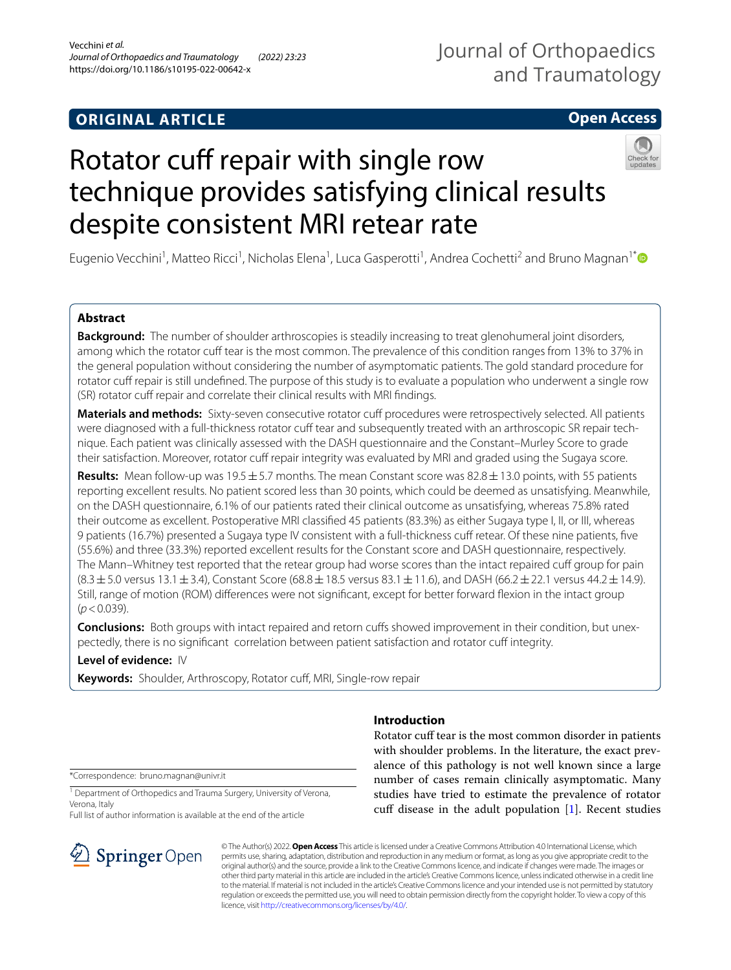## **ORIGINAL ARTICLE**

## Journal of Orthopaedics and Traumatology

## **Open Access**

# Rotator cuff repair with single row technique provides satisfying clinical results despite consistent MRI retear rate



Eugenio Vecchini<sup>1</sup>, Matteo Ricci<sup>1</sup>, Nicholas Elena<sup>1</sup>, Luca Gasperotti<sup>1</sup>, Andrea Cochetti<sup>2</sup> and Bruno Magnan<sup>1\*</sup>

## **Abstract**

**Background:** The number of shoulder arthroscopies is steadily increasing to treat glenohumeral joint disorders, among which the rotator cuff tear is the most common. The prevalence of this condition ranges from 13% to 37% in the general population without considering the number of asymptomatic patients. The gold standard procedure for rotator cuff repair is still undefined. The purpose of this study is to evaluate a population who underwent a single row (SR) rotator cuff repair and correlate their clinical results with MRI findings.

Materials and methods: Sixty-seven consecutive rotator cuff procedures were retrospectively selected. All patients were diagnosed with a full-thickness rotator cuff tear and subsequently treated with an arthroscopic SR repair technique. Each patient was clinically assessed with the DASH questionnaire and the Constant–Murley Score to grade their satisfaction. Moreover, rotator cuff repair integrity was evaluated by MRI and graded using the Sugaya score.

**Results:** Mean follow-up was 19.5±5.7 months. The mean Constant score was 82.8±13.0 points, with 55 patients reporting excellent results. No patient scored less than 30 points, which could be deemed as unsatisfying. Meanwhile, on the DASH questionnaire, 6.1% of our patients rated their clinical outcome as unsatisfying, whereas 75.8% rated their outcome as excellent. Postoperative MRI classifed 45 patients (83.3%) as either Sugaya type I, II, or III, whereas 9 patients (16.7%) presented a Sugaya type IV consistent with a full-thickness cuff retear. Of these nine patients, five (55.6%) and three (33.3%) reported excellent results for the Constant score and DASH questionnaire, respectively. The Mann–Whitney test reported that the retear group had worse scores than the intact repaired cuff group for pain  $(8.3 \pm 5.0$  versus  $13.1 \pm 3.4$ ), Constant Score (68.8 $\pm$ 18.5 versus 83.1 $\pm$ 11.6), and DASH (66.2 $\pm$ 22.1 versus 44.2 $\pm$ 14.9). Still, range of motion (ROM) diferences were not signifcant, except for better forward fexion in the intact group (*p*<0.039).

**Conclusions:** Both groups with intact repaired and retorn cufs showed improvement in their condition, but unexpectedly, there is no significant correlation between patient satisfaction and rotator cuff integrity.

## **Level of evidence:** IV

Keywords: Shoulder, Arthroscopy, Rotator cuff, MRI, Single-row repair

\*Correspondence: bruno.magnan@univr.it

<sup>1</sup> Department of Orthopedics and Trauma Surgery, University of Verona, Verona, Italy

Full list of author information is available at the end of the article



## **Introduction**

Rotator cuff tear is the most common disorder in patients with shoulder problems. In the literature, the exact prevalence of this pathology is not well known since a large number of cases remain clinically asymptomatic. Many studies have tried to estimate the prevalence of rotator cuff disease in the adult population [[1](#page-8-0)]. Recent studies

© The Author(s) 2022. **Open Access** This article is licensed under a Creative Commons Attribution 4.0 International License, which permits use, sharing, adaptation, distribution and reproduction in any medium or format, as long as you give appropriate credit to the original author(s) and the source, provide a link to the Creative Commons licence, and indicate if changes were made. The images or other third party material in this article are included in the article's Creative Commons licence, unless indicated otherwise in a credit line to the material. If material is not included in the article's Creative Commons licence and your intended use is not permitted by statutory regulation or exceeds the permitted use, you will need to obtain permission directly from the copyright holder. To view a copy of this licence, visit [http://creativecommons.org/licenses/by/4.0/.](http://creativecommons.org/licenses/by/4.0/)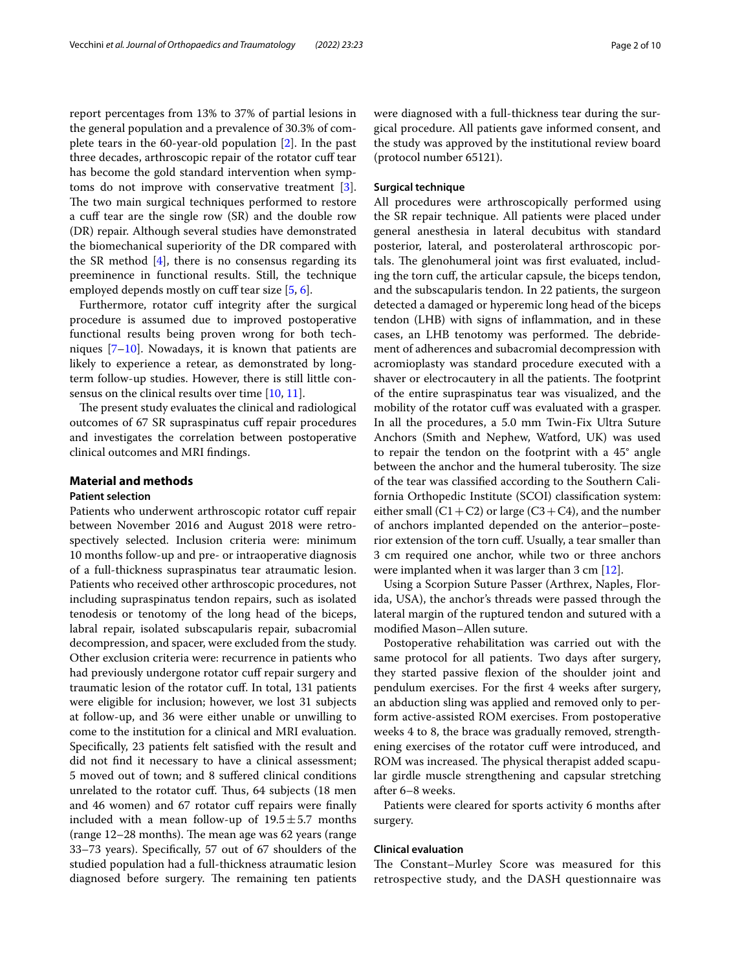report percentages from 13% to 37% of partial lesions in the general population and a prevalence of 30.3% of complete tears in the 60-year-old population [[2\]](#page-8-1). In the past three decades, arthroscopic repair of the rotator cuf tear has become the gold standard intervention when symptoms do not improve with conservative treatment [\[3](#page-8-2)]. The two main surgical techniques performed to restore a cuff tear are the single row (SR) and the double row (DR) repair. Although several studies have demonstrated the biomechanical superiority of the DR compared with the SR method  $[4]$  $[4]$ , there is no consensus regarding its preeminence in functional results. Still, the technique employed depends mostly on cuff tear size  $[5, 6]$  $[5, 6]$  $[5, 6]$  $[5, 6]$ .

Furthermore, rotator cuff integrity after the surgical procedure is assumed due to improved postoperative functional results being proven wrong for both techniques [[7–](#page-8-6)[10](#page-8-7)]. Nowadays, it is known that patients are likely to experience a retear, as demonstrated by longterm follow-up studies. However, there is still little con-sensus on the clinical results over time [\[10,](#page-8-7) [11](#page-8-8)].

The present study evaluates the clinical and radiological outcomes of 67 SR supraspinatus cuf repair procedures and investigates the correlation between postoperative clinical outcomes and MRI fndings.

## **Material and methods**

### **Patient selection**

Patients who underwent arthroscopic rotator cuff repair between November 2016 and August 2018 were retrospectively selected. Inclusion criteria were: minimum 10 months follow-up and pre- or intraoperative diagnosis of a full-thickness supraspinatus tear atraumatic lesion. Patients who received other arthroscopic procedures, not including supraspinatus tendon repairs, such as isolated tenodesis or tenotomy of the long head of the biceps, labral repair, isolated subscapularis repair, subacromial decompression, and spacer, were excluded from the study. Other exclusion criteria were: recurrence in patients who had previously undergone rotator cuff repair surgery and traumatic lesion of the rotator cuf. In total, 131 patients were eligible for inclusion; however, we lost 31 subjects at follow-up, and 36 were either unable or unwilling to come to the institution for a clinical and MRI evaluation. Specifcally, 23 patients felt satisfed with the result and did not fnd it necessary to have a clinical assessment; 5 moved out of town; and 8 sufered clinical conditions unrelated to the rotator cuff. Thus, 64 subjects (18 men and 46 women) and 67 rotator cuf repairs were fnally included with a mean follow-up of  $19.5 \pm 5.7$  months (range 12-28 months). The mean age was 62 years (range 33–73 years). Specifcally, 57 out of 67 shoulders of the studied population had a full-thickness atraumatic lesion diagnosed before surgery. The remaining ten patients were diagnosed with a full-thickness tear during the surgical procedure. All patients gave informed consent, and the study was approved by the institutional review board (protocol number 65121).

#### **Surgical technique**

All procedures were arthroscopically performed using the SR repair technique. All patients were placed under general anesthesia in lateral decubitus with standard posterior, lateral, and posterolateral arthroscopic portals. The glenohumeral joint was first evaluated, including the torn cuf, the articular capsule, the biceps tendon, and the subscapularis tendon. In 22 patients, the surgeon detected a damaged or hyperemic long head of the biceps tendon (LHB) with signs of infammation, and in these cases, an LHB tenotomy was performed. The debridement of adherences and subacromial decompression with acromioplasty was standard procedure executed with a shaver or electrocautery in all the patients. The footprint of the entire supraspinatus tear was visualized, and the mobility of the rotator cuf was evaluated with a grasper. In all the procedures, a 5.0 mm Twin-Fix Ultra Suture Anchors (Smith and Nephew, Watford, UK) was used to repair the tendon on the footprint with a 45° angle between the anchor and the humeral tuberosity. The size of the tear was classifed according to the Southern California Orthopedic Institute (SCOI) classifcation system: either small (C1 + C2) or large (C3 + C4), and the number of anchors implanted depended on the anterior–posterior extension of the torn cuf. Usually, a tear smaller than 3 cm required one anchor, while two or three anchors were implanted when it was larger than 3 cm [\[12\]](#page-8-9).

Using a Scorpion Suture Passer (Arthrex, Naples, Florida, USA), the anchor's threads were passed through the lateral margin of the ruptured tendon and sutured with a modifed Mason–Allen suture.

Postoperative rehabilitation was carried out with the same protocol for all patients. Two days after surgery, they started passive fexion of the shoulder joint and pendulum exercises. For the frst 4 weeks after surgery, an abduction sling was applied and removed only to perform active-assisted ROM exercises. From postoperative weeks 4 to 8, the brace was gradually removed, strengthening exercises of the rotator cuf were introduced, and ROM was increased. The physical therapist added scapular girdle muscle strengthening and capsular stretching after 6–8 weeks.

Patients were cleared for sports activity 6 months after surgery.

#### **Clinical evaluation**

The Constant–Murley Score was measured for this retrospective study, and the DASH questionnaire was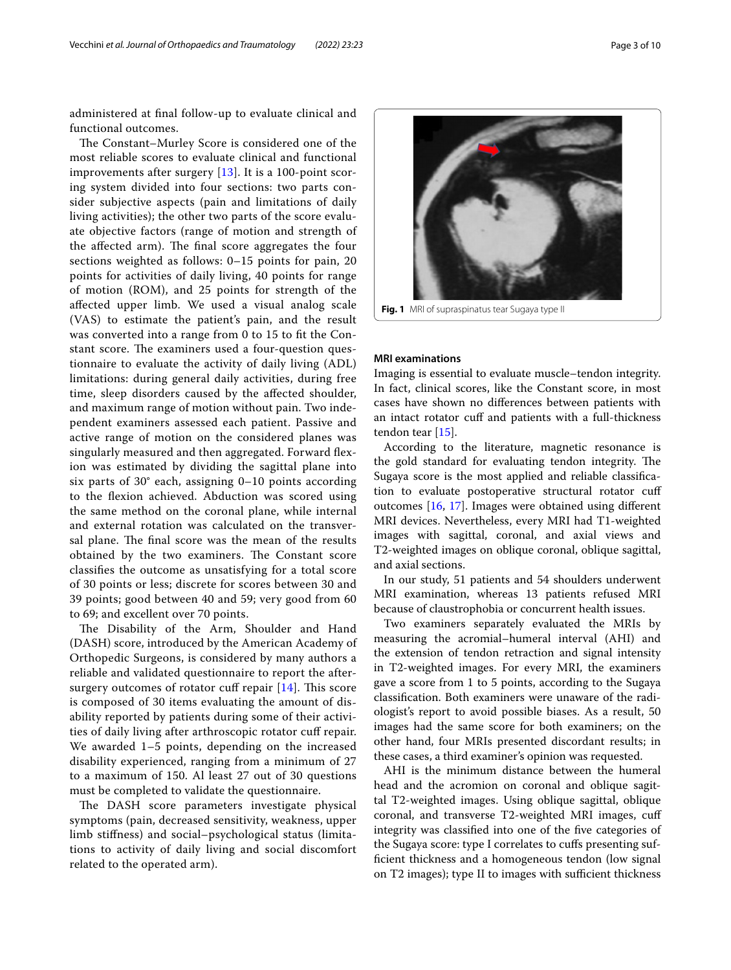administered at fnal follow-up to evaluate clinical and functional outcomes.

The Constant–Murley Score is considered one of the most reliable scores to evaluate clinical and functional improvements after surgery [\[13](#page-8-10)]. It is a 100-point scoring system divided into four sections: two parts consider subjective aspects (pain and limitations of daily living activities); the other two parts of the score evaluate objective factors (range of motion and strength of the affected arm). The final score aggregates the four sections weighted as follows: 0–15 points for pain, 20 points for activities of daily living, 40 points for range of motion (ROM), and 25 points for strength of the afected upper limb. We used a visual analog scale (VAS) to estimate the patient's pain, and the result was converted into a range from 0 to 15 to ft the Constant score. The examiners used a four-question questionnaire to evaluate the activity of daily living (ADL) limitations: during general daily activities, during free time, sleep disorders caused by the afected shoulder, and maximum range of motion without pain. Two independent examiners assessed each patient. Passive and active range of motion on the considered planes was singularly measured and then aggregated. Forward fexion was estimated by dividing the sagittal plane into six parts of 30° each, assigning 0–10 points according to the fexion achieved. Abduction was scored using the same method on the coronal plane, while internal and external rotation was calculated on the transversal plane. The final score was the mean of the results obtained by the two examiners. The Constant score classifes the outcome as unsatisfying for a total score of 30 points or less; discrete for scores between 30 and 39 points; good between 40 and 59; very good from 60 to 69; and excellent over 70 points.

The Disability of the Arm, Shoulder and Hand (DASH) score, introduced by the American Academy of Orthopedic Surgeons, is considered by many authors a reliable and validated questionnaire to report the aftersurgery outcomes of rotator cuff repair  $[14]$  $[14]$  $[14]$ . This score is composed of 30 items evaluating the amount of disability reported by patients during some of their activities of daily living after arthroscopic rotator cuf repair. We awarded 1–5 points, depending on the increased disability experienced, ranging from a minimum of 27 to a maximum of 150. Al least 27 out of 30 questions must be completed to validate the questionnaire.

The DASH score parameters investigate physical symptoms (pain, decreased sensitivity, weakness, upper limb stifness) and social–psychological status (limitations to activity of daily living and social discomfort related to the operated arm).

Imaging is essential to evaluate muscle–tendon integrity. In fact, clinical scores, like the Constant score, in most cases have shown no diferences between patients with an intact rotator cuff and patients with a full-thickness tendon tear [\[15](#page-8-12)].

According to the literature, magnetic resonance is the gold standard for evaluating tendon integrity. The Sugaya score is the most applied and reliable classifcation to evaluate postoperative structural rotator cuf outcomes [[16,](#page-8-13) [17\]](#page-8-14). Images were obtained using diferent MRI devices. Nevertheless, every MRI had T1-weighted images with sagittal, coronal, and axial views and T2-weighted images on oblique coronal, oblique sagittal, and axial sections.

In our study, 51 patients and 54 shoulders underwent MRI examination, whereas 13 patients refused MRI because of claustrophobia or concurrent health issues.

Two examiners separately evaluated the MRIs by measuring the acromial–humeral interval (AHI) and the extension of tendon retraction and signal intensity in T2-weighted images. For every MRI, the examiners gave a score from 1 to 5 points, according to the Sugaya classifcation. Both examiners were unaware of the radiologist's report to avoid possible biases. As a result, 50 images had the same score for both examiners; on the other hand, four MRIs presented discordant results; in these cases, a third examiner's opinion was requested.

AHI is the minimum distance between the humeral head and the acromion on coronal and oblique sagittal T2-weighted images. Using oblique sagittal, oblique coronal, and transverse T2-weighted MRI images, cuf integrity was classifed into one of the fve categories of the Sugaya score: type I correlates to cufs presenting suffcient thickness and a homogeneous tendon (low signal on T2 images); type II to images with sufficient thickness



<span id="page-2-0"></span>**Fig. 1** MRI of supraspinatus tear Sugaya type II

**MRI examinations**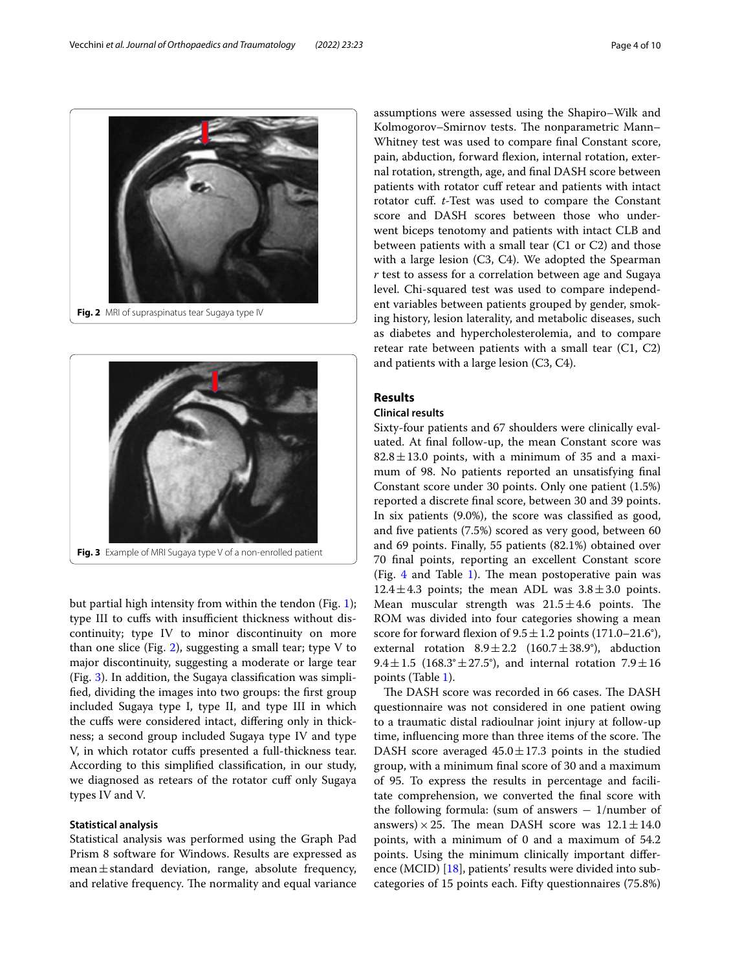

<span id="page-3-0"></span>

<span id="page-3-1"></span>but partial high intensity from within the tendon (Fig. [1](#page-2-0)); type III to cuffs with insufficient thickness without discontinuity; type IV to minor discontinuity on more than one slice (Fig. [2](#page-3-0)), suggesting a small tear; type V to major discontinuity, suggesting a moderate or large tear (Fig. [3](#page-3-1)). In addition, the Sugaya classifcation was simplifed, dividing the images into two groups: the frst group included Sugaya type I, type II, and type III in which the cufs were considered intact, difering only in thickness; a second group included Sugaya type IV and type V, in which rotator cufs presented a full-thickness tear. According to this simplifed classifcation, in our study, we diagnosed as retears of the rotator cuff only Sugaya types IV and V.

#### **Statistical analysis**

Statistical analysis was performed using the Graph Pad Prism 8 software for Windows. Results are expressed as mean $\pm$ standard deviation, range, absolute frequency, and relative frequency. The normality and equal variance assumptions were assessed using the Shapiro–Wilk and Kolmogorov–Smirnov tests. The nonparametric Mann– Whitney test was used to compare fnal Constant score, pain, abduction, forward fexion, internal rotation, external rotation, strength, age, and fnal DASH score between patients with rotator cuf retear and patients with intact rotator cuf. *t*-Test was used to compare the Constant score and DASH scores between those who underwent biceps tenotomy and patients with intact CLB and between patients with a small tear (C1 or C2) and those with a large lesion (C3, C4). We adopted the Spearman *r* test to assess for a correlation between age and Sugaya level. Chi-squared test was used to compare independent variables between patients grouped by gender, smoking history, lesion laterality, and metabolic diseases, such as diabetes and hypercholesterolemia, and to compare retear rate between patients with a small tear (C1, C2) and patients with a large lesion (C3, C4).

#### **Results**

#### **Clinical results**

Sixty-four patients and 67 shoulders were clinically evaluated. At fnal follow-up, the mean Constant score was  $82.8 \pm 13.0$  points, with a minimum of 35 and a maximum of 98. No patients reported an unsatisfying fnal Constant score under 30 points. Only one patient (1.5%) reported a discrete fnal score, between 30 and 39 points. In six patients (9.0%), the score was classifed as good, and fve patients (7.5%) scored as very good, between 60 and 69 points. Finally, 55 patients (82.1%) obtained over 70 fnal points, reporting an excellent Constant score (Fig.  $4$  and Table [1](#page-4-1)). The mean postoperative pain was 12.4 $\pm$ 4.3 points; the mean ADL was  $3.8\pm3.0$  points. Mean muscular strength was  $21.5 \pm 4.6$  points. The ROM was divided into four categories showing a mean score for forward flexion of  $9.5 \pm 1.2$  points (171.0–21.6°), external rotation  $8.9 \pm 2.2$  (160.7 $\pm$ 38.9°), abduction 9.4 $\pm$ 1.5 (168.3° $\pm$ 27.5°), and internal rotation 7.9 $\pm$ 16 points (Table [1\)](#page-4-1).

The DASH score was recorded in 66 cases. The DASH questionnaire was not considered in one patient owing to a traumatic distal radioulnar joint injury at follow-up time, influencing more than three items of the score. The DASH score averaged  $45.0 \pm 17.3$  points in the studied group, with a minimum fnal score of 30 and a maximum of 95. To express the results in percentage and facilitate comprehension, we converted the fnal score with the following formula: (sum of answers  $-1/n$ umber of answers)  $\times$  25. The mean DASH score was  $12.1 \pm 14.0$ points, with a minimum of 0 and a maximum of 54.2 points. Using the minimum clinically important difer-ence (MCID) [\[18\]](#page-8-15), patients' results were divided into subcategories of 15 points each. Fifty questionnaires (75.8%)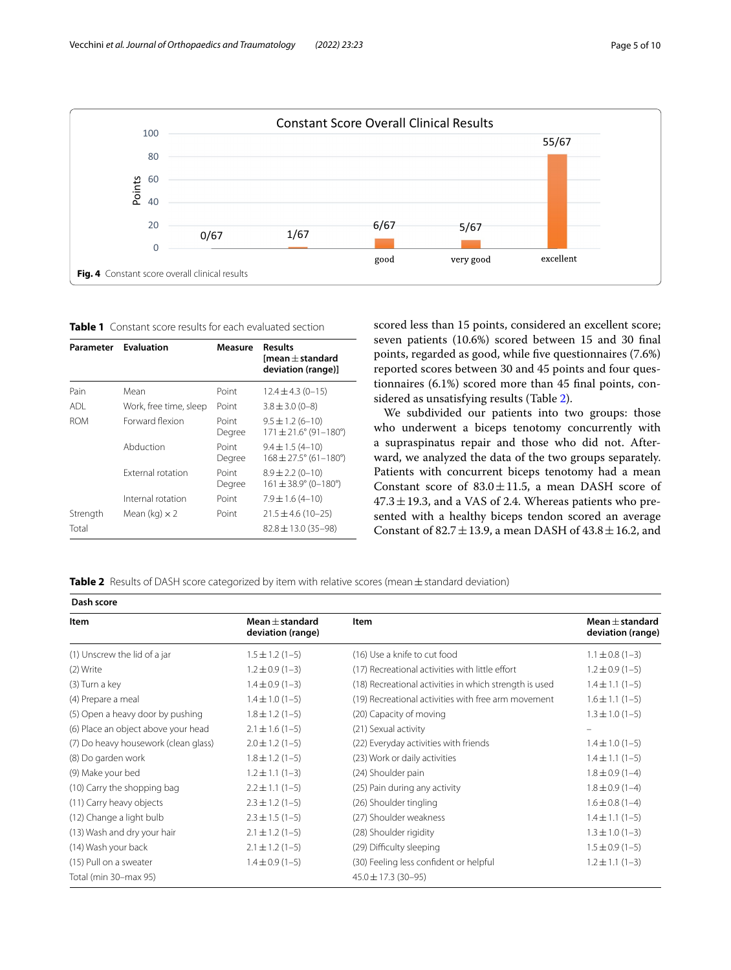

<span id="page-4-1"></span><span id="page-4-0"></span>**Table 1** Constant score results for each evaluated section

| Parameter         | <b>Evaluation</b>      | Measure         | <b>Results</b><br>[mean $\pm$ standard<br>deviation (range)] |
|-------------------|------------------------|-----------------|--------------------------------------------------------------|
| Pain              | Mean                   | Point           | $12.4 \pm 4.3$ (0-15)                                        |
| ADI.              | Work, free time, sleep | Point           | $3.8 \pm 3.0$ (0-8)                                          |
| <b>ROM</b>        | Forward flexion        | Point<br>Degree | $9.5 \pm 1.2 (6 - 10)$<br>$171 \pm 21.6^{\circ}$ (91-180°)   |
|                   | Abduction              | Point<br>Degree | $9.4 \pm 1.5(4 - 10)$<br>$168 \pm 27.5^{\circ}$ (61-180°)    |
|                   | External rotation      | Point<br>Degree | $8.9 \pm 2.2$ (0-10)<br>$161 \pm 38.9^{\circ}$ (0-180°)      |
|                   | Internal rotation      | Point           | $7.9 \pm 1.6$ (4-10)                                         |
| Strength<br>Total | Mean (kg) $\times$ 2   | Point           | $21.5 \pm 4.6$ (10-25)<br>$82.8 \pm 13.0$ (35-98)            |

scored less than 15 points, considered an excellent score; seven patients (10.6%) scored between 15 and 30 fnal points, regarded as good, while fve questionnaires (7.6%) reported scores between 30 and 45 points and four questionnaires (6.1%) scored more than 45 fnal points, considered as unsatisfying results (Table [2](#page-4-2)).

We subdivided our patients into two groups: those who underwent a biceps tenotomy concurrently with a supraspinatus repair and those who did not. Afterward, we analyzed the data of the two groups separately. Patients with concurrent biceps tenotomy had a mean Constant score of  $83.0 \pm 11.5$ , a mean DASH score of  $47.3 \pm 19.3$ , and a VAS of 2.4. Whereas patients who presented with a healthy biceps tendon scored an average Constant of 82.7 $\pm$ 13.9, a mean DASH of 43.8 $\pm$ 16.2, and

<span id="page-4-2"></span>Table 2 Results of DASH score categorized by item with relative scores (mean ± standard deviation)

| Dash score                           |                                          |                                                        |                                          |  |  |
|--------------------------------------|------------------------------------------|--------------------------------------------------------|------------------------------------------|--|--|
| Item                                 | Mean $\pm$ standard<br>deviation (range) | Item                                                   | Mean $\pm$ standard<br>deviation (range) |  |  |
| (1) Unscrew the lid of a jar         | $1.5 \pm 1.2$ (1-5)                      | (16) Use a knife to cut food                           | $1.1 \pm 0.8$ (1-3)                      |  |  |
| (2) Write                            | $1.2 \pm 0.9$ (1-3)                      | (17) Recreational activities with little effort        | $1.2 \pm 0.9$ (1-5)                      |  |  |
| (3) Turn a key                       | $1.4 \pm 0.9(1-3)$                       | (18) Recreational activities in which strength is used | $1.4 \pm 1.1(1-5)$                       |  |  |
| (4) Prepare a meal                   | $1.4 \pm 1.0$ (1-5)                      | (19) Recreational activities with free arm movement    | $1.6 \pm 1.1$ (1-5)                      |  |  |
| (5) Open a heavy door by pushing     | $1.8 \pm 1.2$ (1-5)                      | (20) Capacity of moving                                | $1.3 \pm 1.0$ (1-5)                      |  |  |
| (6) Place an object above your head  | $2.1 \pm 1.6$ (1-5)                      | (21) Sexual activity                                   |                                          |  |  |
| (7) Do heavy housework (clean glass) | $2.0 \pm 1.2$ (1-5)                      | (22) Everyday activities with friends                  | $1.4 \pm 1.0$ (1-5)                      |  |  |
| (8) Do garden work                   | $1.8 \pm 1.2$ (1-5)                      | (23) Work or daily activities                          | $1.4 \pm 1.1$ (1-5)                      |  |  |
| (9) Make your bed                    | $1.2 \pm 1.1$ (1-3)                      | (24) Shoulder pain                                     | $1.8 \pm 0.9$ (1-4)                      |  |  |
| (10) Carry the shopping bag          | $2.2 \pm 1.1$ (1-5)                      | (25) Pain during any activity                          | $1.8 \pm 0.9$ (1-4)                      |  |  |
| (11) Carry heavy objects             | $2.3 \pm 1.2$ (1-5)                      | (26) Shoulder tingling                                 | $1.6 \pm 0.8$ (1-4)                      |  |  |
| (12) Change a light bulb             | $2.3 \pm 1.5$ (1-5)                      | (27) Shoulder weakness                                 | $1.4 \pm 1.1(1-5)$                       |  |  |
| (13) Wash and dry your hair          | $2.1 \pm 1.2$ (1-5)                      | (28) Shoulder rigidity                                 | $1.3 \pm 1.0$ (1-3)                      |  |  |
| (14) Wash your back                  | $2.1 \pm 1.2$ (1-5)                      | (29) Difficulty sleeping                               | $1.5 \pm 0.9(1-5)$                       |  |  |
| (15) Pull on a sweater               | $1.4 \pm 0.9(1-5)$                       | (30) Feeling less confident or helpful                 | $1.2 \pm 1.1$ (1-3)                      |  |  |
| Total (min 30-max 95)                |                                          | $45.0 \pm 17.3$ (30-95)                                |                                          |  |  |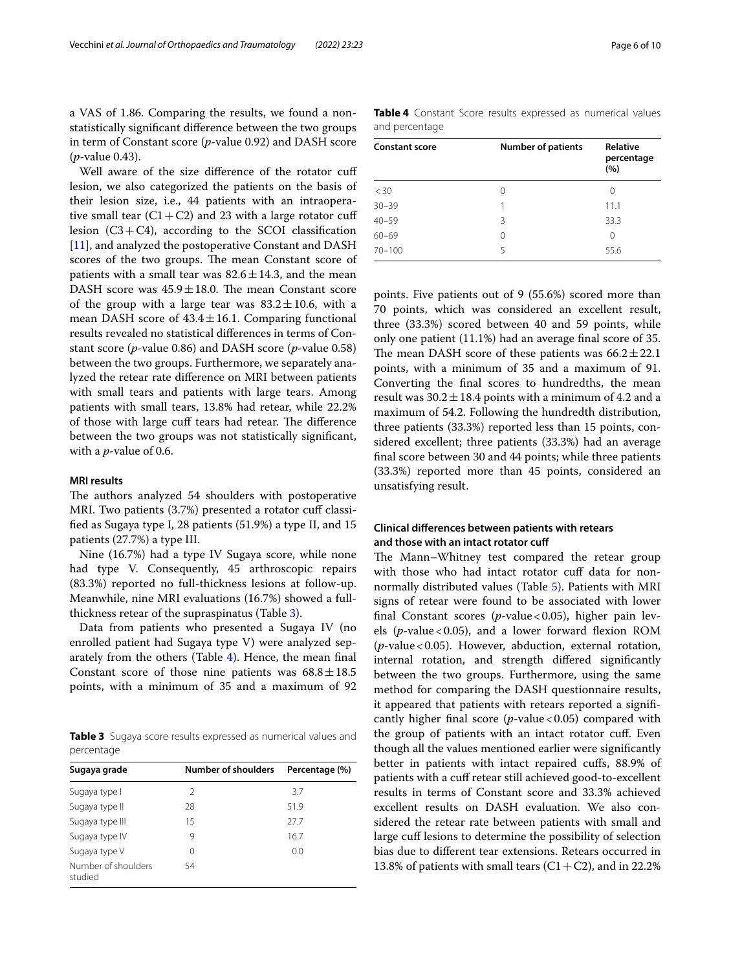a VAS of 1.86. Comparing the results, we found a nonstatistically signifcant diference between the two groups in term of Constant score (*p*-value 0.92) and DASH score (*p*-value 0.43).

Well aware of the size difference of the rotator cuff lesion, we also categorized the patients on the basis of their lesion size, i.e., 44 patients with an intraoperative small tear  $(C1+C2)$  and 23 with a large rotator cuff lesion  $(C3+C4)$ , according to the SCOI classification [[11\]](#page-8-8), and analyzed the postoperative Constant and DASH scores of the two groups. The mean Constant score of patients with a small tear was  $82.6 \pm 14.3$ , and the mean DASH score was  $45.9 \pm 18.0$ . The mean Constant score of the group with a large tear was  $83.2 \pm 10.6$ , with a mean DASH score of  $43.4 \pm 16.1$ . Comparing functional results revealed no statistical diferences in terms of Constant score (*p*-value 0.86) and DASH score (*p*-value 0.58) between the two groups. Furthermore, we separately analyzed the retear rate diference on MRI between patients with small tears and patients with large tears. Among patients with small tears, 13.8% had retear, while 22.2% of those with large cuff tears had retear. The difference between the two groups was not statistically signifcant, with a *p*-value of 0.6.

#### **MRI results**

The authors analyzed 54 shoulders with postoperative MRI. Two patients (3.7%) presented a rotator cuff classifed as Sugaya type I, 28 patients (51.9%) a type II, and 15 patients (27.7%) a type III.

Nine (16.7%) had a type IV Sugaya score, while none had type V. Consequently, 45 arthroscopic repairs (83.3%) reported no full-thickness lesions at follow-up. Meanwhile, nine MRI evaluations (16.7%) showed a fullthickness retear of the supraspinatus (Table [3](#page-5-0)).

Data from patients who presented a Sugaya IV (no enrolled patient had Sugaya type V) were analyzed separately from the others (Table [4\)](#page-5-1). Hence, the mean fnal Constant score of those nine patients was  $68.8 \pm 18.5$ points, with a minimum of 35 and a maximum of 92

<span id="page-5-0"></span>**Table 3** Sugaya score results expressed as numerical values and percentage

| Sugaya grade                   | <b>Number of shoulders</b> | Percentage (%) |
|--------------------------------|----------------------------|----------------|
| Sugaya type I                  | 2                          | 3.7            |
| Sugaya type II                 | 28                         | 51.9           |
| Sugaya type III                | 15                         | 277            |
| Sugaya type IV                 | 9                          | 16.7           |
| Sugaya type V                  | 0                          | 0.0            |
| Number of shoulders<br>studied | 54                         |                |

<span id="page-5-1"></span>**Table 4** Constant Score results expressed as numerical values and percentage

| <b>Constant score</b> | <b>Number of patients</b> | <b>Relative</b><br>percentage<br>(%) |
|-----------------------|---------------------------|--------------------------------------|
| $<$ 30                | 0                         | 0                                    |
| $30 - 39$             |                           | 11.1                                 |
| $40 - 59$             | 3                         | 33.3                                 |
| $60 - 69$             | 0                         | 0                                    |
| $70 - 100$            | 5                         | 55.6                                 |

points. Five patients out of 9 (55.6%) scored more than 70 points, which was considered an excellent result, three (33.3%) scored between 40 and 59 points, while only one patient (11.1%) had an average fnal score of 35. The mean DASH score of these patients was  $66.2 \pm 22.1$ points, with a minimum of 35 and a maximum of 91. Converting the fnal scores to hundredths, the mean result was  $30.2 \pm 18.4$  points with a minimum of 4.2 and a maximum of 54.2. Following the hundredth distribution, three patients (33.3%) reported less than 15 points, considered excellent; three patients (33.3%) had an average fnal score between 30 and 44 points; while three patients (33.3%) reported more than 45 points, considered an unsatisfying result.

#### **Clinical diferences between patients with retears and those with an intact rotator cuf**

The Mann–Whitney test compared the retear group with those who had intact rotator cuff data for nonnormally distributed values (Table [5](#page-6-0)). Patients with MRI signs of retear were found to be associated with lower final Constant scores (*p*-value < 0.05), higher pain levels (*p*-value<0.05), and a lower forward fexion ROM (*p*-value<0.05). However, abduction, external rotation, internal rotation, and strength difered signifcantly between the two groups. Furthermore, using the same method for comparing the DASH questionnaire results, it appeared that patients with retears reported a signifcantly higher final score (*p*-value < 0.05) compared with the group of patients with an intact rotator cuf. Even though all the values mentioned earlier were signifcantly better in patients with intact repaired cufs, 88.9% of patients with a cuff retear still achieved good-to-excellent results in terms of Constant score and 33.3% achieved excellent results on DASH evaluation. We also considered the retear rate between patients with small and large cuff lesions to determine the possibility of selection bias due to diferent tear extensions. Retears occurred in 13.8% of patients with small tears  $(C1+C2)$ , and in 22.2%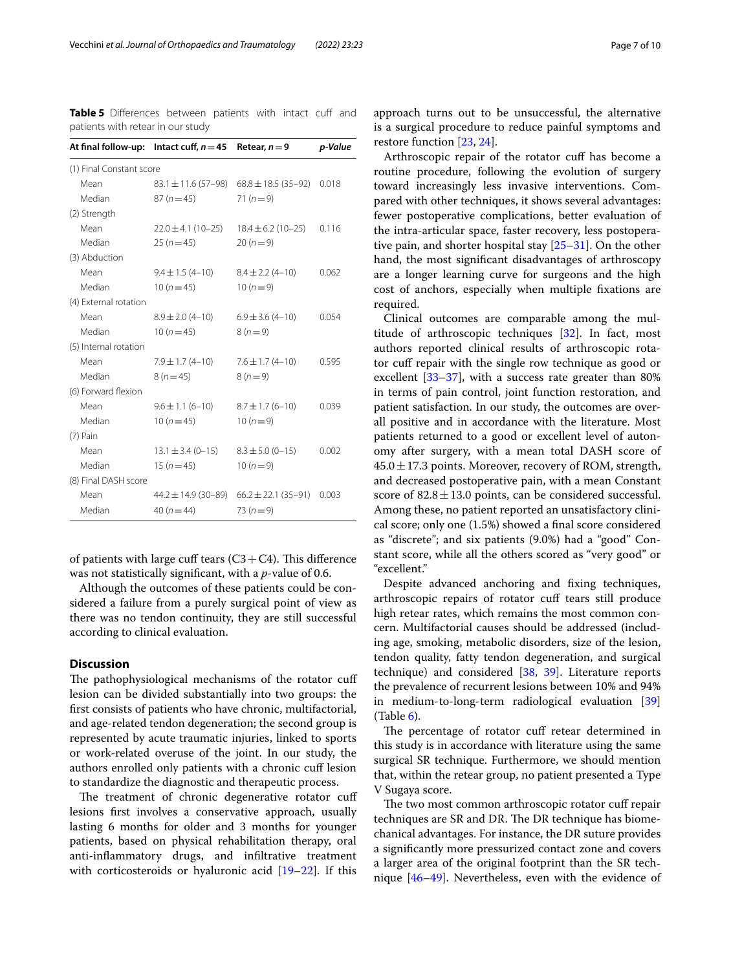<span id="page-6-0"></span>**Table 5** Differences between patients with intact cuff and patients with retear in our study

|                          | At final follow-up: Intact cuff, $n = 45$ Retear, $n = 9$ |                                                 | p-Value |
|--------------------------|-----------------------------------------------------------|-------------------------------------------------|---------|
| (1) Final Constant score |                                                           |                                                 |         |
| Mean                     | $83.1 \pm 11.6 (57 - 98)$                                 | $68.8 \pm 18.5$ (35-92)                         | 0.018   |
| Median                   | $87(n=45)$                                                | $71(n=9)$                                       |         |
| (2) Strength             |                                                           |                                                 |         |
| Mean                     | $22.0 \pm 4.1$ (10-25)                                    | $18.4 \pm 6.2$ (10-25)                          | 0.116   |
| Median                   | $25(n=45)$                                                | $20(n=9)$                                       |         |
| (3) Abduction            |                                                           |                                                 |         |
| Mean                     | $9.4 \pm 1.5(4 - 10)$                                     | $8.4 \pm 2.2(4 - 10)$                           | 0.062   |
| Median                   | 10 $(n=45)$                                               | $10(n=9)$                                       |         |
| (4) External rotation    |                                                           |                                                 |         |
| Mean                     | $8.9 \pm 2.0$ (4-10)                                      | $6.9 \pm 3.6$ (4-10)                            | 0.054   |
| Median                   | $10(n=45)$                                                | $8(n=9)$                                        |         |
| (5) Internal rotation    |                                                           |                                                 |         |
| Mean                     | $7.9 \pm 1.7(4 - 10)$                                     | $7.6 \pm 1.7(4-10)$                             | 0.595   |
| Median                   | $8(n=45)$                                                 | $8(n=9)$                                        |         |
| (6) Forward flexion      |                                                           |                                                 |         |
| Mean                     | $9.6 \pm 1.1 (6 - 10)$                                    | $8.7 \pm 1.7$ (6-10)                            | 0.039   |
| Median                   | $10(n=45)$                                                | $10(n=9)$                                       |         |
| $(7)$ Pain               |                                                           |                                                 |         |
| Mean                     | $13.1 \pm 3.4 (0 - 15)$                                   | $8.3 \pm 5.0$ (0-15)                            | 0.002   |
| Median                   | $15(n=45)$                                                | 10 $(n=9)$                                      |         |
| (8) Final DASH score     |                                                           |                                                 |         |
| Mean                     |                                                           | $44.2 \pm 14.9$ (30-89) 66.2 $\pm$ 22.1 (35-91) | 0.003   |
| Median                   | 40 $(n = 44)$                                             | 73 $(n=9)$                                      |         |
|                          |                                                           |                                                 |         |

of patients with large cuff tears  $(C3+C4)$ . This difference was not statistically signifcant, with a *p*-value of 0.6.

Although the outcomes of these patients could be considered a failure from a purely surgical point of view as there was no tendon continuity, they are still successful according to clinical evaluation.

#### **Discussion**

The pathophysiological mechanisms of the rotator cuff lesion can be divided substantially into two groups: the frst consists of patients who have chronic, multifactorial, and age-related tendon degeneration; the second group is represented by acute traumatic injuries, linked to sports or work-related overuse of the joint. In our study, the authors enrolled only patients with a chronic cuf lesion to standardize the diagnostic and therapeutic process.

The treatment of chronic degenerative rotator cuff lesions frst involves a conservative approach, usually lasting 6 months for older and 3 months for younger patients, based on physical rehabilitation therapy, oral anti-infammatory drugs, and infltrative treatment with corticosteroids or hyaluronic acid [[19–](#page-8-16)[22](#page-8-17)]. If this

approach turns out to be unsuccessful, the alternative is a surgical procedure to reduce painful symptoms and restore function [[23,](#page-8-18) [24](#page-8-19)].

Arthroscopic repair of the rotator cuf has become a routine procedure, following the evolution of surgery toward increasingly less invasive interventions. Compared with other techniques, it shows several advantages: fewer postoperative complications, better evaluation of the intra-articular space, faster recovery, less postoperative pain, and shorter hospital stay [[25–](#page-8-20)[31](#page-9-0)]. On the other hand, the most signifcant disadvantages of arthroscopy are a longer learning curve for surgeons and the high cost of anchors, especially when multiple fxations are required.

Clinical outcomes are comparable among the multitude of arthroscopic techniques [\[32](#page-9-1)]. In fact, most authors reported clinical results of arthroscopic rotator cuff repair with the single row technique as good or excellent  $[33-37]$  $[33-37]$  $[33-37]$ , with a success rate greater than 80% in terms of pain control, joint function restoration, and patient satisfaction. In our study, the outcomes are overall positive and in accordance with the literature. Most patients returned to a good or excellent level of autonomy after surgery, with a mean total DASH score of  $45.0 \pm 17.3$  points. Moreover, recovery of ROM, strength, and decreased postoperative pain, with a mean Constant score of  $82.8 \pm 13.0$  points, can be considered successful. Among these, no patient reported an unsatisfactory clinical score; only one (1.5%) showed a fnal score considered as "discrete"; and six patients (9.0%) had a "good" Constant score, while all the others scored as "very good" or "excellent."

Despite advanced anchoring and fxing techniques, arthroscopic repairs of rotator cuf tears still produce high retear rates, which remains the most common concern. Multifactorial causes should be addressed (including age, smoking, metabolic disorders, size of the lesion, tendon quality, fatty tendon degeneration, and surgical technique) and considered [\[38](#page-9-4), [39](#page-9-5)]. Literature reports the prevalence of recurrent lesions between 10% and 94% in medium-to-long-term radiological evaluation [[39](#page-9-5)]  $(Table 6)$  $(Table 6)$ .

The percentage of rotator cuff retear determined in this study is in accordance with literature using the same surgical SR technique. Furthermore, we should mention that, within the retear group, no patient presented a Type V Sugaya score.

The two most common arthroscopic rotator cuff repair techniques are SR and DR. The DR technique has biomechanical advantages. For instance, the DR suture provides a signifcantly more pressurized contact zone and covers a larger area of the original footprint than the SR technique [[46–](#page-9-6)[49](#page-9-7)]. Nevertheless, even with the evidence of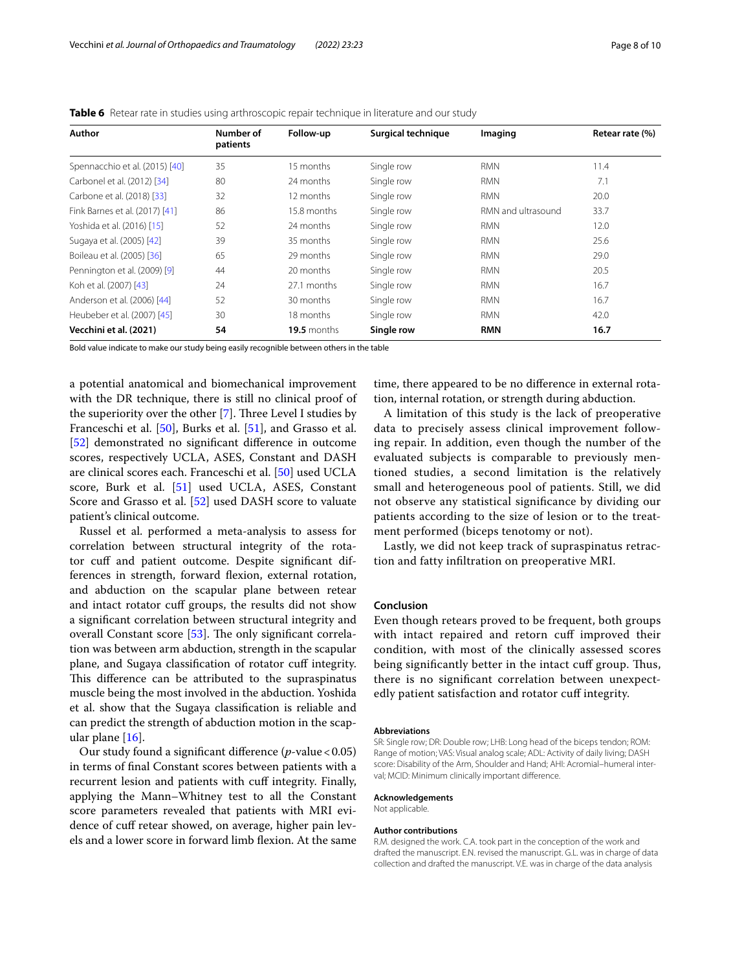| Author                         | Number of<br>patients | Follow-up     | Surgical technique | Imaging            | Retear rate (%) |
|--------------------------------|-----------------------|---------------|--------------------|--------------------|-----------------|
| Spennacchio et al. (2015) [40] | 35                    | 15 months     | Single row         | <b>RMN</b>         | 11.4            |
| Carbonel et al. (2012) [34]    | 80                    | 24 months     | Single row         | <b>RMN</b>         | 7.1             |
| Carbone et al. (2018) [33]     | 32                    | 12 months     | Single row         | <b>RMN</b>         | 20.0            |
| Fink Barnes et al. (2017) [41] | 86                    | 15.8 months   | Single row         | RMN and ultrasound | 33.7            |
| Yoshida et al. (2016) [15]     | 52                    | 24 months     | Single row         | <b>RMN</b>         | 12.0            |
| Sugaya et al. (2005) [42]      | 39                    | 35 months     | Single row         | <b>RMN</b>         | 25.6            |
| Boileau et al. (2005) [36]     | 65                    | 29 months     | Single row         | <b>RMN</b>         | 29.0            |
| Pennington et al. (2009) [9]   | 44                    | 20 months     | Single row         | <b>RMN</b>         | 20.5            |
| Koh et al. (2007) [43]         | 24                    | 27.1 months   | Single row         | <b>RMN</b>         | 16.7            |
| Anderson et al. (2006) [44]    | 52                    | 30 months     | Single row         | <b>RMN</b>         | 16.7            |
| Heubeber et al. (2007) [45]    | 30                    | 18 months     | Single row         | <b>RMN</b>         | 42.0            |
| Vecchini et al. (2021)         | 54                    | $19.5$ months | Single row         | <b>RMN</b>         | 16.7            |

<span id="page-7-0"></span>**Table 6** Retear rate in studies using arthroscopic repair technique in literature and our study

Bold value indicate to make our study being easily recognible between others in the table

a potential anatomical and biomechanical improvement with the DR technique, there is still no clinical proof of the superiority over the other  $[7]$  $[7]$ . Three Level I studies by Franceschi et al. [\[50](#page-9-8)], Burks et al. [\[51\]](#page-9-9), and Grasso et al. [[52\]](#page-9-10) demonstrated no significant difference in outcome scores, respectively UCLA, ASES, Constant and DASH are clinical scores each. Franceschi et al. [\[50](#page-9-8)] used UCLA score, Burk et al. [\[51](#page-9-9)] used UCLA, ASES, Constant Score and Grasso et al. [\[52\]](#page-9-10) used DASH score to valuate patient's clinical outcome.

Russel et al. performed a meta-analysis to assess for correlation between structural integrity of the rotator cuff and patient outcome. Despite significant differences in strength, forward fexion, external rotation, and abduction on the scapular plane between retear and intact rotator cuf groups, the results did not show a signifcant correlation between structural integrity and overall Constant score  $[53]$  $[53]$  $[53]$ . The only significant correlation was between arm abduction, strength in the scapular plane, and Sugaya classification of rotator cuff integrity. This difference can be attributed to the supraspinatus muscle being the most involved in the abduction. Yoshida et al. show that the Sugaya classifcation is reliable and can predict the strength of abduction motion in the scapular plane [[16\]](#page-8-13).

Our study found a significant difference (*p*-value < 0.05) in terms of fnal Constant scores between patients with a recurrent lesion and patients with cuff integrity. Finally, applying the Mann–Whitney test to all the Constant score parameters revealed that patients with MRI evidence of cuff retear showed, on average, higher pain levels and a lower score in forward limb fexion. At the same

time, there appeared to be no diference in external rotation, internal rotation, or strength during abduction.

A limitation of this study is the lack of preoperative data to precisely assess clinical improvement following repair. In addition, even though the number of the evaluated subjects is comparable to previously mentioned studies, a second limitation is the relatively small and heterogeneous pool of patients. Still, we did not observe any statistical signifcance by dividing our patients according to the size of lesion or to the treatment performed (biceps tenotomy or not).

Lastly, we did not keep track of supraspinatus retraction and fatty infltration on preoperative MRI.

#### **Conclusion**

Even though retears proved to be frequent, both groups with intact repaired and retorn cuff improved their condition, with most of the clinically assessed scores being significantly better in the intact cuff group. Thus, there is no signifcant correlation between unexpectedly patient satisfaction and rotator cuff integrity.

#### **Abbreviations**

SR: Single row; DR: Double row; LHB: Long head of the biceps tendon; ROM: Range of motion; VAS: Visual analog scale; ADL: Activity of daily living; DASH score: Disability of the Arm, Shoulder and Hand; AHI: Acromial–humeral interval; MCID: Minimum clinically important diference.

#### **Acknowledgements**

Not applicable.

#### **Author contributions**

R.M. designed the work. C.A. took part in the conception of the work and drafted the manuscript. E.N. revised the manuscript. G.L. was in charge of data collection and drafted the manuscript. V.E. was in charge of the data analysis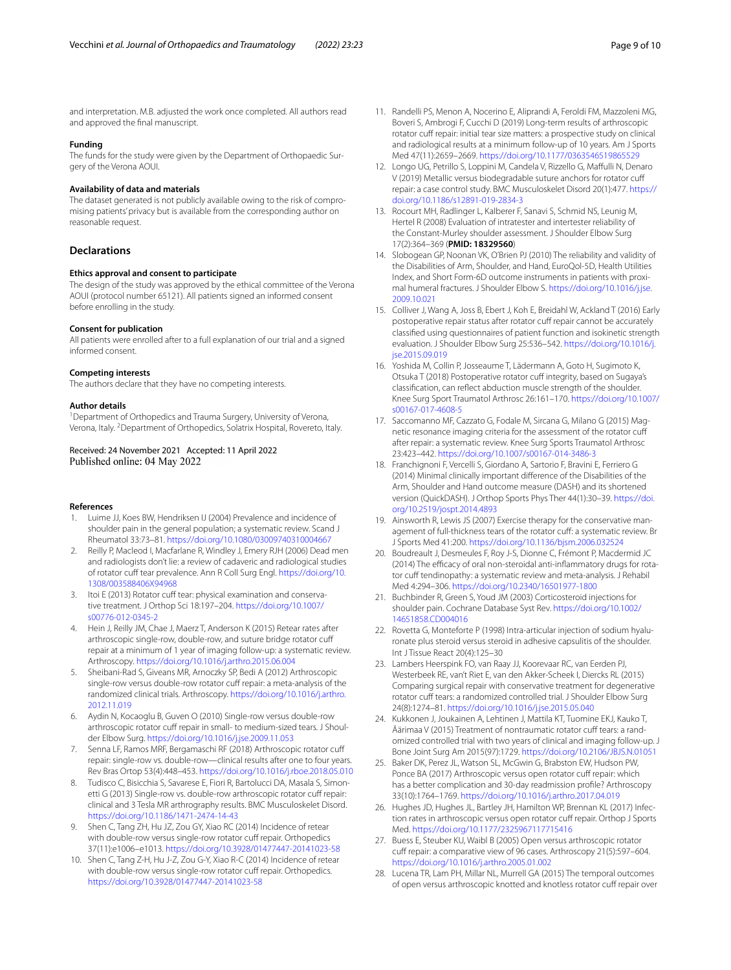and interpretation. M.B. adjusted the work once completed. All authors read and approved the fnal manuscript.

#### **Funding**

The funds for the study were given by the Department of Orthopaedic Surgery of the Verona AOUI.

#### **Availability of data and materials**

The dataset generated is not publicly available owing to the risk of compromising patients' privacy but is available from the corresponding author on reasonable request.

#### **Declarations**

#### **Ethics approval and consent to participate**

The design of the study was approved by the ethical committee of the Verona AOUI (protocol number 65121). All patients signed an informed consent before enrolling in the study.

#### **Consent for publication**

All patients were enrolled after to a full explanation of our trial and a signed informed consent.

#### **Competing interests**

The authors declare that they have no competing interests.

#### **Author details**

<sup>1</sup> Department of Orthopedics and Trauma Surgery, University of Verona, Verona, Italy. <sup>2</sup> Department of Orthopedics, Solatrix Hospital, Rovereto, Italy.

#### Received: 24 November 2021 Accepted: 11 April 2022 Published online: 04 May 2022

#### **References**

- <span id="page-8-0"></span>1. Luime JJ, Koes BW, Hendriksen IJ (2004) Prevalence and incidence of shoulder pain in the general population; a systematic review. Scand J Rheumatol 33:73–81.<https://doi.org/10.1080/03009740310004667>
- <span id="page-8-1"></span>2. Reilly P, Macleod I, Macfarlane R, Windley J, Emery RJH (2006) Dead men and radiologists don't lie: a review of cadaveric and radiological studies of rotator cuff tear prevalence. Ann R Coll Surg Engl. [https://doi.org/10.](https://doi.org/10.1308/003588406X94968) [1308/003588406X94968](https://doi.org/10.1308/003588406X94968)
- <span id="page-8-2"></span>3. Itoi E (2013) Rotator cuff tear: physical examination and conservative treatment. J Orthop Sci 18:197–204. [https://doi.org/10.1007/](https://doi.org/10.1007/s00776-012-0345-2) [s00776-012-0345-2](https://doi.org/10.1007/s00776-012-0345-2)
- <span id="page-8-3"></span>4. Hein J, Reilly JM, Chae J, Maerz T, Anderson K (2015) Retear rates after arthroscopic single-row, double-row, and suture bridge rotator cuf repair at a minimum of 1 year of imaging follow-up: a systematic review. Arthroscopy.<https://doi.org/10.1016/j.arthro.2015.06.004>
- <span id="page-8-4"></span>5. Sheibani-Rad S, Giveans MR, Arnoczky SP, Bedi A (2012) Arthroscopic single-row versus double-row rotator cuff repair: a meta-analysis of the randomized clinical trials. Arthroscopy. [https://doi.org/10.1016/j.arthro.](https://doi.org/10.1016/j.arthro.2012.11.019) [2012.11.019](https://doi.org/10.1016/j.arthro.2012.11.019)
- <span id="page-8-5"></span>6. Aydin N, Kocaoglu B, Guven O (2010) Single-row versus double-row arthroscopic rotator cuff repair in small- to medium-sized tears. J Shoulder Elbow Surg.<https://doi.org/10.1016/j.jse.2009.11.053>
- <span id="page-8-6"></span>7. Senna LF, Ramos MRF, Bergamaschi RF (2018) Arthroscopic rotator cuf repair: single-row vs. double-row—clinical results after one to four years. Rev Bras Ortop 53(4):448–453.<https://doi.org/10.1016/j.rboe.2018.05.010>
- 8. Tudisco C, Bisicchia S, Savarese E, Fiori R, Bartolucci DA, Masala S, Simonetti G (2013) Single-row vs. double-row arthroscopic rotator cuff repair: clinical and 3 Tesla MR arthrography results. BMC Musculoskelet Disord. <https://doi.org/10.1186/1471-2474-14-43>
- <span id="page-8-21"></span>Shen C, Tang ZH, Hu JZ, Zou GY, Xiao RC (2014) Incidence of retear with double-row versus single-row rotator cuff repair. Orthopedics 37(11):e1006–e1013.<https://doi.org/10.3928/01477447-20141023-58>
- <span id="page-8-7"></span>10. Shen C, Tang Z-H, Hu J-Z, Zou G-Y, Xiao R-C (2014) Incidence of retear with double-row versus single-row rotator cuff repair. Orthopedics. <https://doi.org/10.3928/01477447-20141023-58>
- <span id="page-8-8"></span>11. Randelli PS, Menon A, Nocerino E, Aliprandi A, Feroldi FM, Mazzoleni MG, Boveri S, Ambrogi F, Cucchi D (2019) Long-term results of arthroscopic rotator cuff repair: initial tear size matters: a prospective study on clinical and radiological results at a minimum follow-up of 10 years. Am J Sports Med 47(11):2659–2669. <https://doi.org/10.1177/0363546519865529>
- <span id="page-8-9"></span>12. Longo UG, Petrillo S, Loppini M, Candela V, Rizzello G, Mafulli N, Denaro V (2019) Metallic versus biodegradable suture anchors for rotator cuf repair: a case control study. BMC Musculoskelet Disord 20(1):477. [https://](https://doi.org/10.1186/s12891-019-2834-3) [doi.org/10.1186/s12891-019-2834-3](https://doi.org/10.1186/s12891-019-2834-3)
- <span id="page-8-10"></span>13. Rocourt MH, Radlinger L, Kalberer F, Sanavi S, Schmid NS, Leunig M, Hertel R (2008) Evaluation of intratester and intertester reliability of the Constant-Murley shoulder assessment. J Shoulder Elbow Surg 17(2):364–369 (**PMID: 18329560**)
- <span id="page-8-11"></span>14. Slobogean GP, Noonan VK, O'Brien PJ (2010) The reliability and validity of the Disabilities of Arm, Shoulder, and Hand, EuroQol-5D, Health Utilities Index, and Short Form-6D outcome instruments in patients with proximal humeral fractures. J Shoulder Elbow S. [https://doi.org/10.1016/j.jse.](https://doi.org/10.1016/j.jse.2009.10.021) [2009.10.021](https://doi.org/10.1016/j.jse.2009.10.021)
- <span id="page-8-12"></span>15. Colliver J, Wang A, Joss B, Ebert J, Koh E, Breidahl W, Ackland T (2016) Early postoperative repair status after rotator cuff repair cannot be accurately classifed using questionnaires of patient function and isokinetic strength evaluation. J Shoulder Elbow Surg 25:536–542. [https://doi.org/10.1016/j.](https://doi.org/10.1016/j.jse.2015.09.019) [jse.2015.09.019](https://doi.org/10.1016/j.jse.2015.09.019)
- <span id="page-8-13"></span>16. Yoshida M, Collin P, Josseaume T, Lädermann A, Goto H, Sugimoto K, Otsuka T (2018) Postoperative rotator cuff integrity, based on Sugaya's classifcation, can refect abduction muscle strength of the shoulder. Knee Surg Sport Traumatol Arthrosc 26:161–170. [https://doi.org/10.1007/](https://doi.org/10.1007/s00167-017-4608-5) [s00167-017-4608-5](https://doi.org/10.1007/s00167-017-4608-5)
- <span id="page-8-14"></span>17. Saccomanno MF, Cazzato G, Fodale M, Sircana G, Milano G (2015) Magnetic resonance imaging criteria for the assessment of the rotator cuf after repair: a systematic review. Knee Surg Sports Traumatol Arthrosc 23:423–442.<https://doi.org/10.1007/s00167-014-3486-3>
- <span id="page-8-15"></span>18. Franchignoni F, Vercelli S, Giordano A, Sartorio F, Bravini E, Ferriero G (2014) Minimal clinically important diference of the Disabilities of the Arm, Shoulder and Hand outcome measure (DASH) and its shortened version (QuickDASH). J Orthop Sports Phys Ther 44(1):30–39. [https://doi.](https://doi.org/10.2519/jospt.2014.4893) [org/10.2519/jospt.2014.4893](https://doi.org/10.2519/jospt.2014.4893)
- <span id="page-8-16"></span>19. Ainsworth R, Lewis JS (2007) Exercise therapy for the conservative management of full-thickness tears of the rotator cuff: a systematic review. Br J Sports Med 41:200. <https://doi.org/10.1136/bjsm.2006.032524>
- 20. Boudreault J, Desmeules F, Roy J-S, Dionne C, Frémont P, Macdermid JC (2014) The efficacy of oral non-steroidal anti-inflammatory drugs for rotator cuff tendinopathy: a systematic review and meta-analysis. J Rehabil Med 4:294–306. <https://doi.org/10.2340/16501977-1800>
- 21. Buchbinder R, Green S, Youd JM (2003) Corticosteroid injections for shoulder pain. Cochrane Database Syst Rev. [https://doi.org/10.1002/](https://doi.org/10.1002/14651858.CD004016) [14651858.CD004016](https://doi.org/10.1002/14651858.CD004016)
- <span id="page-8-17"></span>22. Rovetta G, Monteforte P (1998) Intra-articular injection of sodium hyaluronate plus steroid versus steroid in adhesive capsulitis of the shoulder. Int J Tissue React 20(4):125–30
- <span id="page-8-18"></span>23. Lambers Heerspink FO, van Raay JJ, Koorevaar RC, van Eerden PJ, Westerbeek RE, van't Riet E, van den Akker-Scheek I, Diercks RL (2015) Comparing surgical repair with conservative treatment for degenerative rotator cuff tears: a randomized controlled trial. J Shoulder Elbow Surg 24(8):1274–81. <https://doi.org/10.1016/j.jse.2015.05.040>
- <span id="page-8-19"></span>24. Kukkonen J, Joukainen A, Lehtinen J, Mattila KT, Tuomine EKJ, Kauko T, Äärimaa V (2015) Treatment of nontraumatic rotator cuff tears: a randomized controlled trial with two years of clinical and imaging follow-up. J Bone Joint Surg Am 2015(97):1729.<https://doi.org/10.2106/JBJS.N.01051>
- <span id="page-8-20"></span>25. Baker DK, Perez JL, Watson SL, McGwin G, Brabston EW, Hudson PW, Ponce BA (2017) Arthroscopic versus open rotator cuff repair: which has a better complication and 30-day readmission profle? Arthroscopy 33(10):1764–1769. <https://doi.org/10.1016/j.arthro.2017.04.019>
- 26. Hughes JD, Hughes JL, Bartley JH, Hamilton WP, Brennan KL (2017) Infection rates in arthroscopic versus open rotator cuff repair. Orthop J Sports Med.<https://doi.org/10.1177/2325967117715416>
- 27. Buess E, Steuber KU, Waibl B (2005) Open versus arthroscopic rotator cuff repair: a comparative view of 96 cases. Arthroscopy 21(5):597-604. <https://doi.org/10.1016/j.arthro.2005.01.002>
- 28. Lucena TR, Lam PH, Millar NL, Murrell GA (2015) The temporal outcomes of open versus arthroscopic knotted and knotless rotator cuff repair over